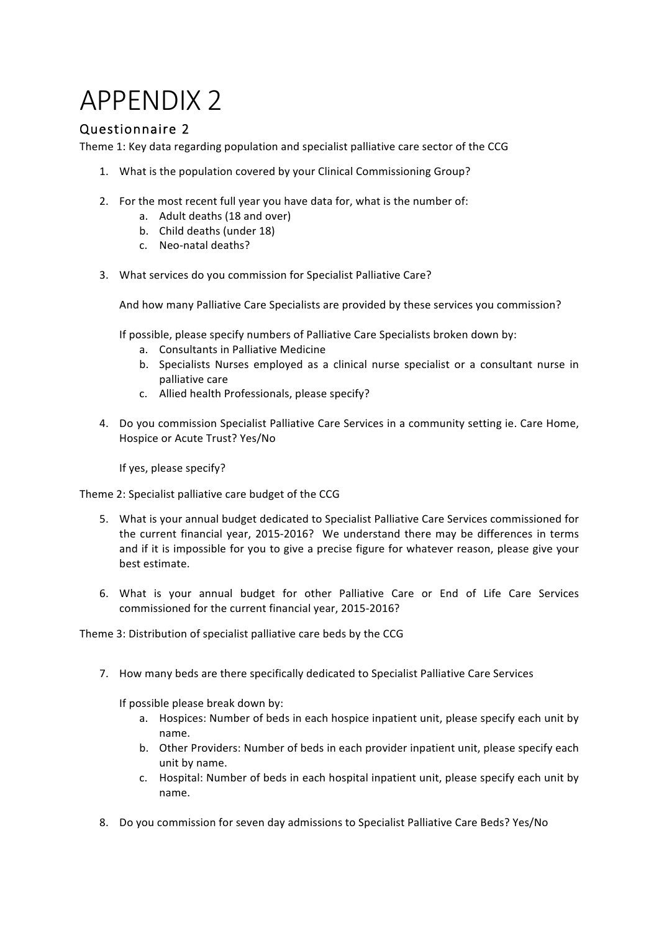## APPENDIX 2

## Questionnaire 2

Theme 1: Key data regarding population and specialist palliative care sector of the CCG

- 1. What is the population covered by your Clinical Commissioning Group?
- 2. For the most recent full year you have data for, what is the number of:
	- a. Adult deaths (18 and over)
	- b. Child deaths (under 18)
	- c. Neo-natal deaths?
- 3. What services do you commission for Specialist Palliative Care?

And how many Palliative Care Specialists are provided by these services you commission?

If possible, please specify numbers of Palliative Care Specialists broken down by:

- a. Consultants in Palliative Medicine
- b. Specialists Nurses employed as a clinical nurse specialist or a consultant nurse in palliative care
- c. Allied health Professionals, please specify?
- 4. Do you commission Specialist Palliative Care Services in a community setting ie. Care Home, Hospice or Acute Trust? Yes/No

If yes, please specify?

Theme 2: Specialist palliative care budget of the CCG

- 5. What is your annual budget dedicated to Specialist Palliative Care Services commissioned for the current financial year, 2015-2016? We understand there may be differences in terms and if it is impossible for you to give a precise figure for whatever reason, please give your best estimate.
- 6. What is your annual budget for other Palliative Care or End of Life Care Services commissioned for the current financial year, 2015-2016?

Theme 3: Distribution of specialist palliative care beds by the CCG

7. How many beds are there specifically dedicated to Specialist Palliative Care Services

If possible please break down by:

- a. Hospices: Number of beds in each hospice inpatient unit, please specify each unit by name.
- b. Other Providers: Number of beds in each provider inpatient unit, please specify each unit by name.
- c. Hospital: Number of beds in each hospital inpatient unit, please specify each unit by name.
- 8. Do you commission for seven day admissions to Specialist Palliative Care Beds? Yes/No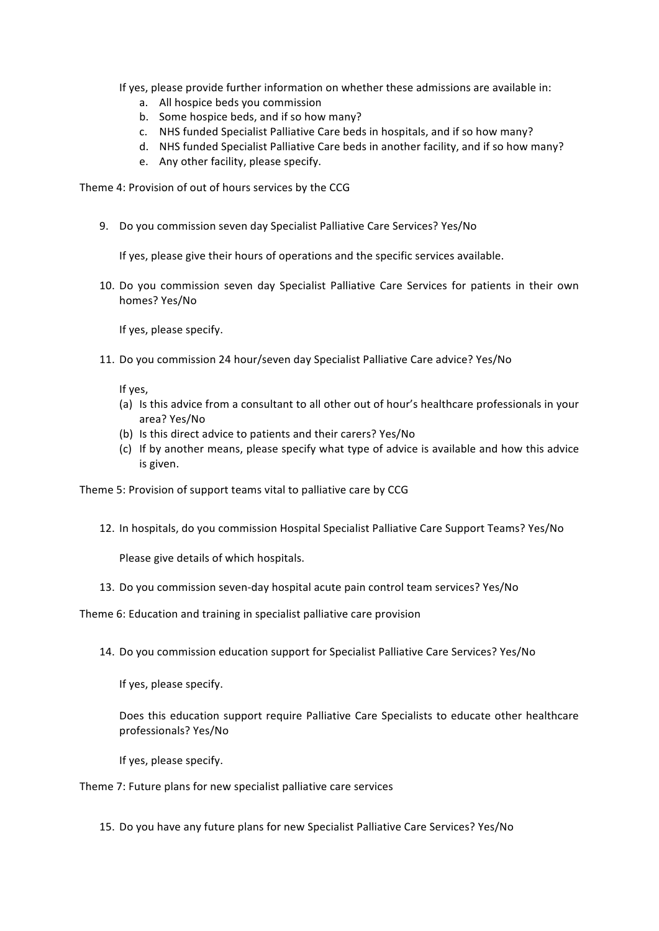If yes, please provide further information on whether these admissions are available in:

- a. All hospice beds you commission
- b. Some hospice beds, and if so how many?
- c. NHS funded Specialist Palliative Care beds in hospitals, and if so how many?
- d. NHS funded Specialist Palliative Care beds in another facility, and if so how many?
- e. Any other facility, please specify.

Theme 4: Provision of out of hours services by the CCG

9. Do you commission seven day Specialist Palliative Care Services? Yes/No

If yes, please give their hours of operations and the specific services available.

10. Do you commission seven day Specialist Palliative Care Services for patients in their own homes? Yes/No

If yes, please specify.

11. Do you commission 24 hour/seven day Specialist Palliative Care advice? Yes/No

If yes.

- (a) Is this advice from a consultant to all other out of hour's healthcare professionals in your area? Yes/No
- (b) Is this direct advice to patients and their carers? Yes/No
- (c) If by another means, please specify what type of advice is available and how this advice is given.

Theme 5: Provision of support teams vital to palliative care by CCG

12. In hospitals, do you commission Hospital Specialist Palliative Care Support Teams? Yes/No

Please give details of which hospitals.

13. Do you commission seven-day hospital acute pain control team services? Yes/No

Theme 6: Education and training in specialist palliative care provision

14. Do you commission education support for Specialist Palliative Care Services? Yes/No

If yes, please specify.

Does this education support require Palliative Care Specialists to educate other healthcare professionals? Yes/No

If yes, please specify.

Theme 7: Future plans for new specialist palliative care services

15. Do you have any future plans for new Specialist Palliative Care Services? Yes/No